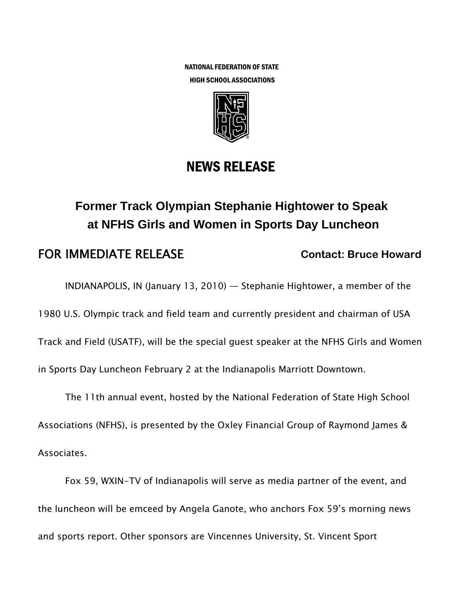NATIONAL FEDERATION OF STATE HIGH SCHOOL ASSOCIATIONS



## NEWS RELEASE

## **Former Track Olympian Stephanie Hightower to Speak at NFHS Girls and Women in Sports Day Luncheon**

## **FOR IMMEDIATE RELEASE** Contact: Bruce Howard

INDIANAPOLIS, IN (January 13, 2010) — Stephanie Hightower, a member of the

1980 U.S. Olympic track and field team and currently president and chairman of USA

Track and Field (USATF), will be the special guest speaker at the NFHS Girls and Women

in Sports Day Luncheon February 2 at the Indianapolis Marriott Downtown.

The 11th annual event, hosted by the National Federation of State High School Associations (NFHS), is presented by the Oxley Financial Group of Raymond James & Associates.

Fox 59, WXIN-TV of Indianapolis will serve as media partner of the event, and the luncheon will be emceed by Angela Ganote, who anchors Fox 59's morning news and sports report. Other sponsors are Vincennes University, St. Vincent Sport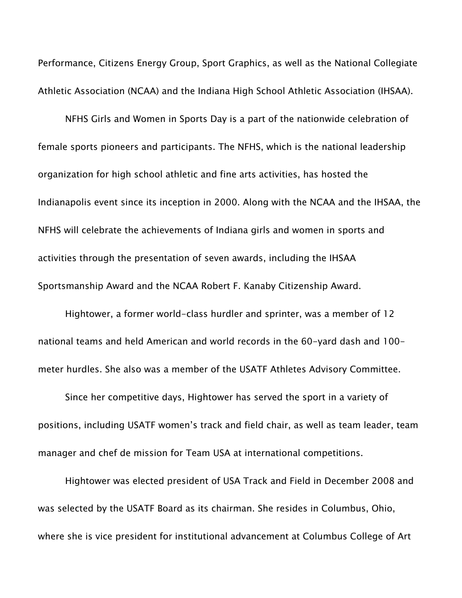Performance, Citizens Energy Group, Sport Graphics, as well as the National Collegiate Athletic Association (NCAA) and the Indiana High School Athletic Association (IHSAA).

NFHS Girls and Women in Sports Day is a part of the nationwide celebration of female sports pioneers and participants. The NFHS, which is the national leadership organization for high school athletic and fine arts activities, has hosted the Indianapolis event since its inception in 2000. Along with the NCAA and the IHSAA, the NFHS will celebrate the achievements of Indiana girls and women in sports and activities through the presentation of seven awards, including the IHSAA Sportsmanship Award and the NCAA Robert F. Kanaby Citizenship Award.

Hightower, a former world-class hurdler and sprinter, was a member of 12 national teams and held American and world records in the 60-yard dash and 100 meter hurdles. She also was a member of the USATF Athletes Advisory Committee.

Since her competitive days, Hightower has served the sport in a variety of positions, including USATF women's track and field chair, as well as team leader, team manager and chef de mission for Team USA at international competitions.

Hightower was elected president of USA Track and Field in December 2008 and was selected by the USATF Board as its chairman. She resides in Columbus, Ohio, where she is vice president for institutional advancement at Columbus College of Art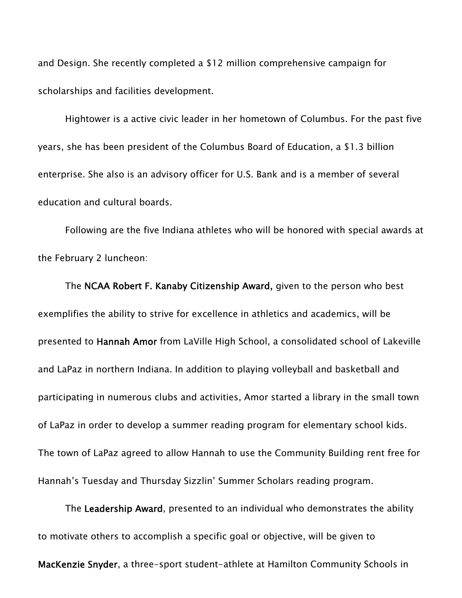and Design. She recently completed a \$12 million comprehensive campaign for scholarships and facilities development.

Hightower is a active civic leader in her hometown of Columbus. For the past five years, she has been president of the Columbus Board of Education, a \$1.3 billion enterprise. She also is an advisory officer for U.S. Bank and is a member of several education and cultural boards.

Following are the five Indiana athletes who will be honored with special awards at the February 2 luncheon:

The NCAA Robert F. Kanaby Citizenship Award, given to the person who best exemplifies the ability to strive for excellence in athletics and academics, will be presented to Hannah Amor from LaVille High School, a consolidated school of Lakeville and LaPaz in northern Indiana. In addition to playing volleyball and basketball and participating in numerous clubs and activities, Amor started a library in the small town of LaPaz in order to develop a summer reading program for elementary school kids. The town of LaPaz agreed to allow Hannah to use the Community Building rent free for Hannah's Tuesday and Thursday Sizzlin' Summer Scholars reading program.

The Leadership Award, presented to an individual who demonstrates the ability to motivate others to accomplish a specific goal or objective, will be given to

MacKenzie Snyder, a three-sport student-athlete at Hamilton Community Schools in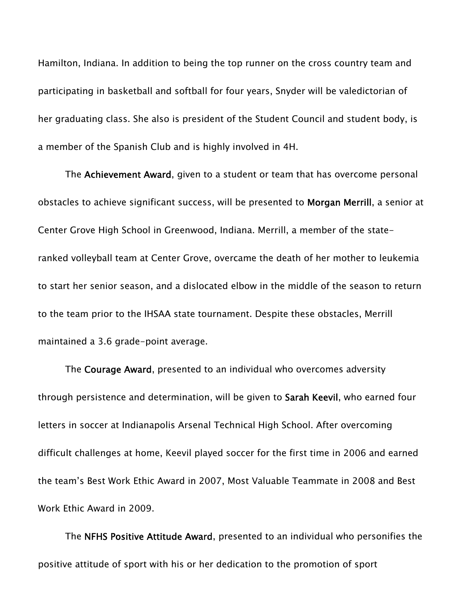Hamilton, Indiana. In addition to being the top runner on the cross country team and participating in basketball and softball for four years, Snyder will be valedictorian of her graduating class. She also is president of the Student Council and student body, is a member of the Spanish Club and is highly involved in 4H.

The Achievement Award, given to a student or team that has overcome personal obstacles to achieve significant success, will be presented to Morgan Merrill, a senior at Center Grove High School in Greenwood, Indiana. Merrill, a member of the stateranked volleyball team at Center Grove, overcame the death of her mother to leukemia to start her senior season, and a dislocated elbow in the middle of the season to return to the team prior to the IHSAA state tournament. Despite these obstacles, Merrill maintained a 3.6 grade-point average.

The Courage Award, presented to an individual who overcomes adversity through persistence and determination, will be given to Sarah Keevil, who earned four letters in soccer at Indianapolis Arsenal Technical High School. After overcoming difficult challenges at home, Keevil played soccer for the first time in 2006 and earned the team's Best Work Ethic Award in 2007, Most Valuable Teammate in 2008 and Best Work Ethic Award in 2009.

The NFHS Positive Attitude Award, presented to an individual who personifies the positive attitude of sport with his or her dedication to the promotion of sport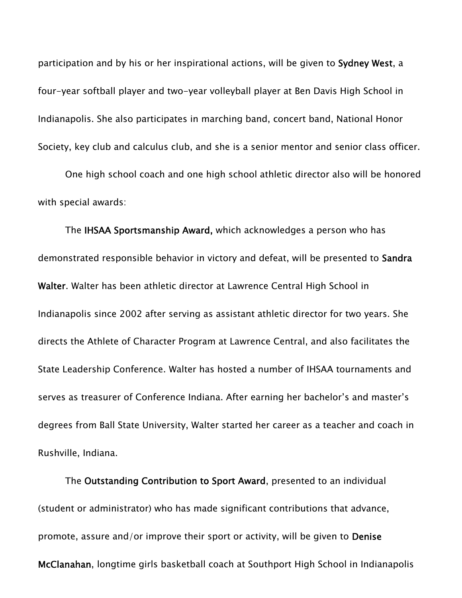participation and by his or her inspirational actions, will be given to Sydney West, a four-year softball player and two-year volleyball player at Ben Davis High School in Indianapolis. She also participates in marching band, concert band, National Honor Society, key club and calculus club, and she is a senior mentor and senior class officer.

One high school coach and one high school athletic director also will be honored with special awards:

The IHSAA Sportsmanship Award, which acknowledges a person who has demonstrated responsible behavior in victory and defeat, will be presented to Sandra Walter. Walter has been athletic director at Lawrence Central High School in Indianapolis since 2002 after serving as assistant athletic director for two years. She directs the Athlete of Character Program at Lawrence Central, and also facilitates the State Leadership Conference. Walter has hosted a number of IHSAA tournaments and serves as treasurer of Conference Indiana. After earning her bachelor's and master's degrees from Ball State University, Walter started her career as a teacher and coach in Rushville, Indiana.

The Outstanding Contribution to Sport Award, presented to an individual (student or administrator) who has made significant contributions that advance, promote, assure and/or improve their sport or activity, will be given to Denise McClanahan, longtime girls basketball coach at Southport High School in Indianapolis